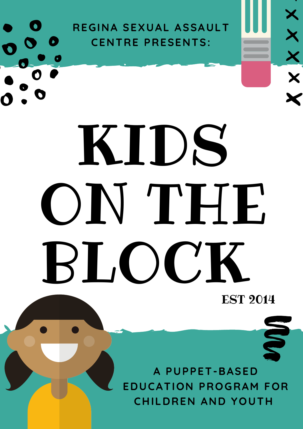**REGINA SEXUAL ASSAULT CENTRE PRESENTS:**

# KIDS ON THE. BLOCK

EST 2014

**SP** 

X

XXX

 $\checkmark$ 

**A PUPPET-BASED EDUCATION PROGRAM FOR CHILDREN AND YOUTH**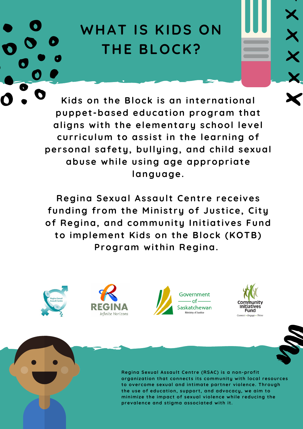# **WHAT IS KIDS ON THE BLOCK?**

**Kids on the Block is an internat ional puppet -based educat ion program that aligns wi th the elementary school level cur r iculum to assist in the learning of personal safety, bullying, and child sexual abuse while using age appropr iate language.**

**Regina Sexual Assault Centre receives funding f rom the Minist ry of Just ice, Ci ty of Regina, and communi ty Ini t iat ives Fund to implement Kids on the Block (KOTB) Program wi thin Regina.**









**Regina Sexual Assaul t Cent re (RSAC) is a non-prof i t organizat ion that connects i ts communi ty wi th local resources to overcome sexual and int imate par tner violence. Through the use of educat ion, suppor t , and advocacy, we aim to minimize the impact of sexual violence while reducing the prevalence and st igma associated wi th i t .**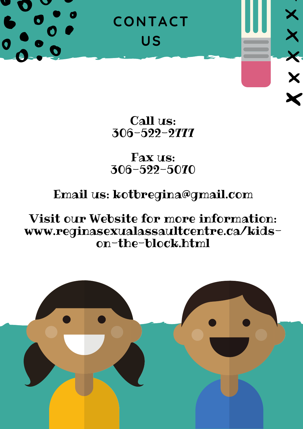

Call us: 306-522-2777

# Fax us: 306-522-5070

# Email us: kotbregina@gmail.com

# Visit our Website for more information: www.reginasexualassaultcentre.ca/kidson-the-block.html

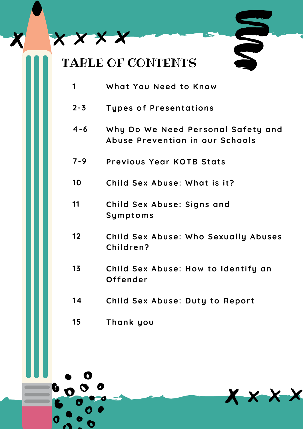# TABLE OF CONTENTS

x x x x

- **1 What You Need to Know**
- **2-3 Types of Presentat ions**
- **4-6 Why Do We Need Personal Safety and Abuse Prevention in our Schools**
- **7-9 Previous Year KOTB Stats**
- **10 Child Sex Abuse: What is i t?**
- **11 Child Sex Abuse: Signs and Symptoms**
- **12 Child Sex Abuse: Who Sexually Abuses Children?**
- **13 Child Sex Abuse: How to Identify an Of fender**

X X X X

- **14 Child Sex Abuse: Duty to Repor t**
- **15 Thank you**

n d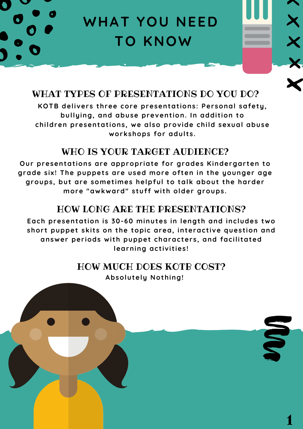**WHAT YOU NEED TO KNOW**

## WHAT TYPES OF PRESENTATIONS DO YOU DO?

**KOTB delivers three core presentat ions: Personal safety, bullying, and abuse prevent ion. In addi t ion to children presentat ions, we also provide child sexual abuse workshops for adul ts.**

## WHO IS YOUR TARGET AUDIENCE?

**Our** presentations are appropriate for grades Kindergarten to **grade six! The puppets are used more of ten in the younger age groups, but are somet imes helpful to talk about the harder more "awkward" stuf f wi th older groups.**

## HOW LONG ARE THE PRESENTATIONS?

**Each presentation is 30-60 minutes in length and includes two shor t puppet ski ts on the topic area, interact ive quest ion and answer per iods wi th puppet characters, and facili tated**  $learning$  *activities!* 

#### HOW MUCH DOES KOTB COST? **Absolutely Nothing!**

1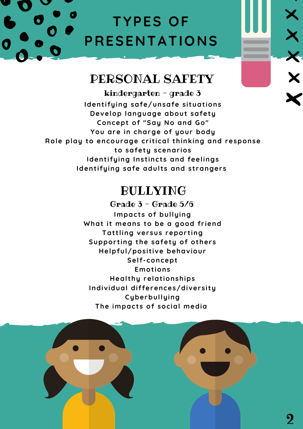# **TYPES OF PRESENTATIONS**

X X X

# PERSONAL SAFETY

kindergarten - grade 3 **Ident i fying safe/unsafe si tuat ions Develop language about safety Concept of "Say No and Go" You are in charge of your body Role play to encourage cr i t ical thinking and response to safety scenar ios identifying Instincts and feelings identifying safe adults and strangers** 

# BULLYING

Grade  $3 -$  Grade  $5/6$ **Impacts of bullying What i t means to be a good f r iend Tattling versus reporting Suppor t ing the safety of others Helpful/positive behaviour Sel f -concept Emot ions Healthy relationships Individual di f ferences/diversi ty Cyberbullying The impacts of social media**

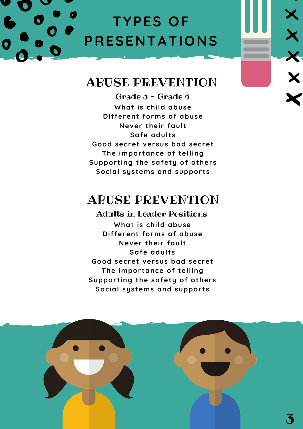# **TYPES OF PRESENTATIONS**

X

X

X

## ABUSE PREVENTION

Grade 3 - Grade 6 **What is child abuse Di f ferent forms of abuse Never** their fault **Safe** *adults* **Good secret versus bad secret The impor tance of telling Suppor t ing the safety of others Social systems and suppor ts**

# ABUSE PREVENTION

#### Adults in Leader Positions **What is child abuse Di f ferent forms of abuse Never their fault Safe** *adults* **Good secret versus bad secret The impor tance of telling Suppor t ing the safety of others Social systems and suppor ts**

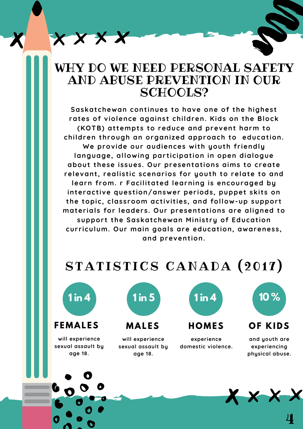## WHY DO WE NEED PERSONAL SAFETY AND ABUSE PREVENTION IN OUR SCHOOLS?

**Saskatchewan cont inues to have one of the highest rates of violence against children. Kids on the Block (KOTB) at tempts to reduce and prevent harm to children through an organized approach to educat ion. We provide our audiences wi th youth f r iendly language, allowing par t icipat ion in open dialogue about these issues. Our presentat ions aims to create relevant , realist ic scenar ios for youth to relate to and learn f rom. r Facili tated learning is encouraged by interact ive quest ion/answer per iods, puppet ski ts on the topic, classroom act ivi t ies, and follow-up suppor t mater ials for leaders. Our presentat ions are aligned to suppor t the Saskatchewan Minist ry of Educat ion cur r iculum. Our main goals are educat ion, awareness, and prevent ion.**

# STATISTICS CANADA (2017)



x x x x

**F EMAL ES**

**will experience sexual assault by age 18.**



**MAL ES**

**will experience sexual assault by age 18.**



**H OMES**

**experience domestic violence.** **OF KIDS** 

**and youth are experiencing physical abuse.**

X X X X

4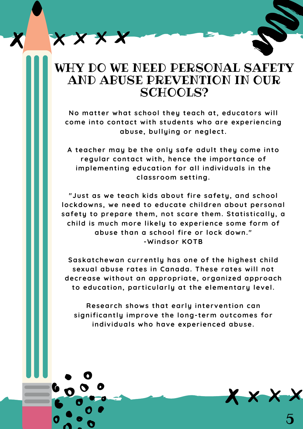## WHY DO WE NEED PERSONAL SAFETY AND ABUSE PREVENTION IN OUR SCHOOLS?

x x x x

 $N$ **o** matter what school they teach at, educators will **come into contact wi th students who are exper iencing abuse, bullying or neglect .**

**A teacher may be the only safe adul t they come into regular contact wi th, hence the impor tance of implementing education for all individuals in the classroom set t ing.**

**"Just as we teach kids about f i re safety, and school lockdowns, we need to educate children about personal safety to prepare them, not scare them. Stat ist ically, a child is much more likely to exper ience some form of abuse than a school f i re or lock down. " -Windsor KOTB**

**Saskatchewan cur rent ly has one of the highest child sexual abuse rates in Canada. These rates will not decrease wi thout an appropr iate, organized approach to educat ion, par t icular ly at the elementary level.**

**Research shows that ear ly intervent ion can signi f icant ly improve the long- term outcomes for individuals who have exper ienced abuse.**

5

X X X X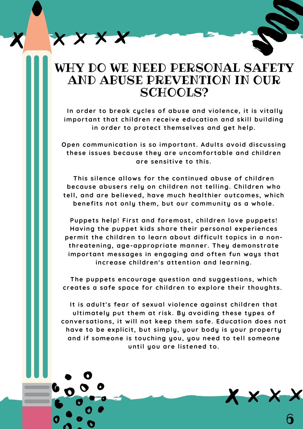## WHY DO WE NEED PERSONAL SAFETY AND ABUSE PREVENTION IN OUR SCHOOLS?

x x x x

**In order to break cycles of abuse and violence, i t is vi tally important that children receive education and skill building in order to protect themselves and get help.**

**Open** communication is so important. Adults avoid discussing **these issues because they are uncomfor table and children are sensi t ive to this.**

**This silence allows for the cont inued abuse of children because abusers rely on children not telling. Children who tell, and are believed, have much heal thier outcomes, which benef i ts not only them, but our communi ty as a whole.**

**Puppets help! Fi rst and foremost , children love puppets! Having the puppet kids share thei r personal exper iences** permit the children to learn about difficult topics in a non**threatening, age-appropr iate manner . They demonst rate impor tant messages in engaging and of ten fun ways that increase children's attention and learning.** 

**The puppets encourage quest ion and suggest ions, which creates a safe space for children to explore thei r thoughts.**

**I t is adul t 's fear of sexual violence against children that ul t imately put them at r isk. By avoiding these types of conversat ions, i t will not keep them safe. Educat ion does not have to be explici t , but simply, your body is your proper ty and i f someone is touching you, you need to tell someone until you are listened to.** 

6

 $\boldsymbol{\mathsf{X}} \times \boldsymbol{\mathsf{X}}$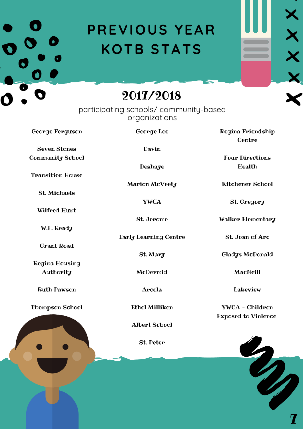# **PREVIOUS YEAR KOTB STATS**

2017/2018

participating schools/ community-based organizations

George Lee

Davin

George Ferguson

0

Seven Stones Community School

Transition House

St. Michaels

Wilfred Hunt

W.F. Ready

Grant Road

Regina Housing Authority

Ruth Pawson

Thompson School

Marion McVeety

Deshaye

YWCA

St. Jerome

Early Learning Centre

St. Mary

McDermid

Arcola

Ethel Milliken

Albert School

St. Peter

Regina Friendship Centre

x x x x

Four Directions Health

Kitchener School

St. Gregory

Walker Elementary

St. Joan of Arc

Gladys McDonald

MacNeill

Lakeview

YWCA - Children Exposed to Violence

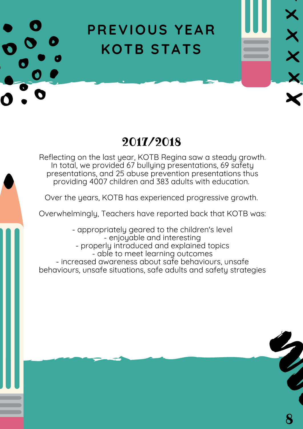

# 2017/2018

Reflecting on the last year, KOTB Regina saw a steady growth. In total, we provided 67 bullying presentations, 69 safety presentations, and 25 abuse prevention presentations thus providing 4007 children and 383 adults with education.

Over the years, KOTB has experienced progressive growth.

Overwhelmingly, Teachers have reported back that KOTB was:

- appropriately geared to the children's level - enjoyable and interesting - properly introduced and explained topics - able to meet learning outcomes - increased awareness about safe behaviours, unsafe behaviours, unsafe situations, safe adults and safety strategies

8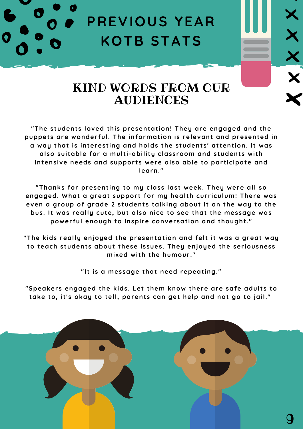# **PREVIOUS YEAR KOTB STATS**

 $\times$ 

# KIND WORDS FROM OUR AUDIENCES

**"The students loved this presentat ion! They are engaged and the puppets are wonder ful. The informat ion is relevant and presented in a way that is interest ing and holds the students' at tent ion. I t was also sui table for a mul t i-abili ty classroom and students wi th intensive needs and suppor ts were also able to par t icipate and learn. "**

**"Thanks for present ing to my class last week. They were all so engaged. What a great suppor t for my heal th cur r iculum! There was even a group of grade 2 students talking about i t on the way to the bus. I t was really cute, but also nice to see that the message was power ful enough to inspi re conversat ion and thought . "**

**"The kids really enjoyed the presentat ion and fel t i t was a great way to teach students about these issues. They enjoyed the ser iousness mixed wi th the humour . "**

**" I t is a message that need repeat ing. "**

**"Speakers engaged the kids. Let them know there are safe adul ts to take to, i t 's okay to tell, parents can get help and not go to jail. "**

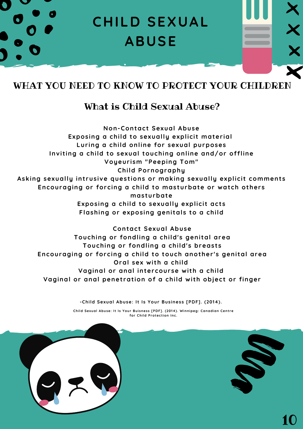## WHAT YOU NEED TO KNOW TO PROTECT YOUR CHILDREN

#### What is Child Sexual Abuse?

**Non-Contact Sexual Abuse Exposing a child to sexually explici t mater ial Lur ing a child online for sexual purposes Invi t ing a child to sexual touching online and/or of f line Voyeur ism "Peeping Tom" Child Pornography Asking sexually int rusive quest ions or making sexually explici t comments Encouraging or forcing a child to masturbate or watch others masturbate Exposing a child to sexually explici t acts Flashing or exposing geni tals to a child**

**Contact Sexual Abuse Touching or fondling a child's geni tal area Touching or fondling a child's breasts Encouraging or forcing a child to touch another 's geni tal area Oral sex wi th a child Vaginal or anal intercourse wi th a child Vaginal or anal penet rat ion of a child wi th object or f inger**

**-Child Sexual Abuse: I t Is Your Business [PDF] . (2014).**

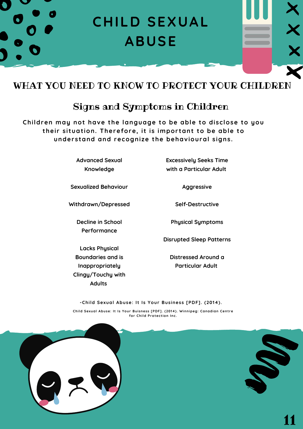

## WHAT YOU NEED TO KNOW TO PROTECT YOUR CHILDREN

#### Signs and Symptoms in Children

**Children may not have the language to be able to disclose to you thei r si tuat ion. Therefore, i t is impor tant to be able to understand and recognize the behavioural signs.**

> **Advanced Sexual Knowledge**

**Excessively Seeks Time with a Particular Adult**

**Sexualized Behaviour**

**Withdrawn/Depressed**

**Decline in School Performance**

**Lacks Physical Boundaries and is Inappropriately Clingy/Touchy with Adults**

**Aggressive**

**Self-Destructive**

**Physical Symptoms**

**Disrupted Sleep Patterns**

**Distressed Around a Particular Adult**

**-Child Sexual Abuse: I t Is Your Business [PDF] . (2014).**

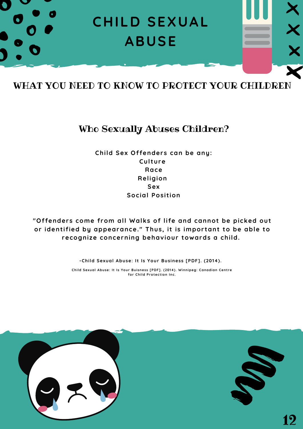## WHAT YOU NEED TO KNOW TO PROTECT YOUR CHILDREN

## Who Sexually Abuses Children?

**Child Sex Of fenders can be any: Cul ture Race Religion Sex Social Posi t ion**

**"Of fenders come f rom all Walks of li fe and cannot be picked out or ident i f ied by appearance. " Thus, i t is impor tant to be able to recognize concerning behaviour towards a child.**

**-Child Sexual Abuse: I t Is Your Business [PDF] . (2014).**

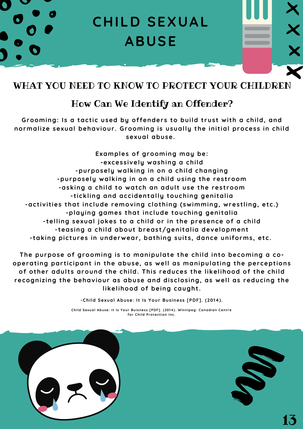## WHAT YOU NEED TO KNOW TO PROTECT YOUR CHILDREN

#### How Can We Identify an Offender?

**Grooming: Is a tact ic used by of fenders to build t rust wi th a child, and normalize sexual behaviour . Grooming is usually the ini t ial process in child sexual abuse.**

**Examples of grooming may be: -excessively washing a child -purposely walking in on a child changing -purposely walking in on a child using the rest room -asking a child to watch an adul t use the rest room - t ickling and accidentally touching geni talia -act ivi t ies that include removing clothing (swimming, wrest ling, etc.) -playing games that include touching geni talia - telling sexual jokes to a child or in the presence of a child - teasing a child about breast/geni talia development - taking pictures in underwear , bathing sui ts, dance uni forms, etc.**

**The purpose of grooming is to manipulate the child into becoming a cooperat ing par t icipant in the abuse, as well as manipulat ing the percept ions of other adul ts around the child. This reduces the likelihood of the child recognizing the behaviour as abuse and disclosing, as well as reducing the likelihood of being caught .**

**-Child Sexual Abuse: I t Is Your Business [PDF] . (2014).**

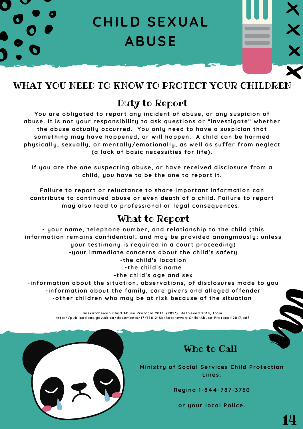## WHAT YOU NEED TO KNOW TO PROTECT YOUR CHILDREN

## Duty to Report

**You are obligated to repor t any incident of abuse, or any suspicion of abuse. I t is not your responsibili ty to ask quest ions or " invest igate" whether the abuse actually occur red. You only need to have a suspicion that something may have happened, or will happen. A child can be harmed physically, sexually, or mentally/emot ionally, as well as suf fer f rom neglect (a lack of basic necessi t ies for li fe).**

**I f you are the one suspect ing abuse, or have received disclosure f rom a child, you have to be the one to repor t i t .**

**Failure to repor t or reluctance to share impor tant informat ion can cont r ibute to cont inued abuse or even death of a child. Failure to repor t may also lead to professional or legal consequences.**

## What to Report

**- your name, telephone number , and relat ionship to the child ( this**  $i$  **information** remains confidential, and may be provided anonymously; unless **your test imony is requi red in a cour t proceeding) -your immediate concerns about the child's safety - the child's locat ion**

**- the child's name**

**- the child's age and sex**

 $i$ -information about the situation, observations, of disclosures made to you **-informat ion about the family, care givers and alleged of fender -other children who may be at r isk because of the si tuat ion**

> **Saskatchewan Child Abuse Protocol 2017. (2017). Ret r ieved 2018, f rom ht tp://publicat ions.gov.sk.ca/documents/17/18812-Saskatchewan-Child-Abuse-Protocol-2017.pdf**



## Who to Call

**Ministry of Social Services Child Protection Lines:**

**Regina 1-844-787-3760**

**or your local Police.**